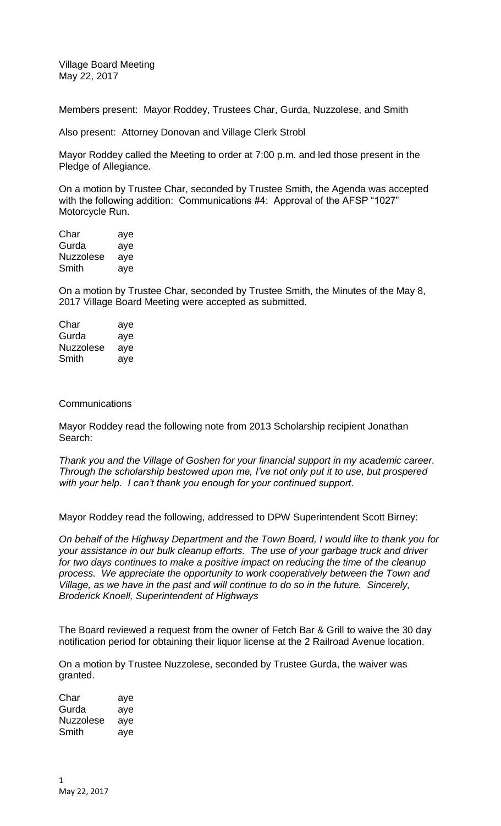Village Board Meeting May 22, 2017

Members present: Mayor Roddey, Trustees Char, Gurda, Nuzzolese, and Smith

Also present: Attorney Donovan and Village Clerk Strobl

Mayor Roddey called the Meeting to order at 7:00 p.m. and led those present in the Pledge of Allegiance.

On a motion by Trustee Char, seconded by Trustee Smith, the Agenda was accepted with the following addition: Communications #4: Approval of the AFSP "1027" Motorcycle Run.

Char aye Gurda aye Nuzzolese aye Smith aye

On a motion by Trustee Char, seconded by Trustee Smith, the Minutes of the May 8, 2017 Village Board Meeting were accepted as submitted.

| Char      | aye |
|-----------|-----|
| Gurda     | aye |
| Nuzzolese | aye |
| Smith     | aye |

## **Communications**

Mayor Roddey read the following note from 2013 Scholarship recipient Jonathan Search:

*Thank you and the Village of Goshen for your financial support in my academic career. Through the scholarship bestowed upon me, I've not only put it to use, but prospered with your help. I can't thank you enough for your continued support.*

Mayor Roddey read the following, addressed to DPW Superintendent Scott Birney:

*On behalf of the Highway Department and the Town Board, I would like to thank you for your assistance in our bulk cleanup efforts. The use of your garbage truck and driver for two days continues to make a positive impact on reducing the time of the cleanup process. We appreciate the opportunity to work cooperatively between the Town and Village, as we have in the past and will continue to do so in the future. Sincerely, Broderick Knoell, Superintendent of Highways*

The Board reviewed a request from the owner of Fetch Bar & Grill to waive the 30 day notification period for obtaining their liquor license at the 2 Railroad Avenue location.

On a motion by Trustee Nuzzolese, seconded by Trustee Gurda, the waiver was granted.

Char aye Gurda aye Nuzzolese aye Smith aye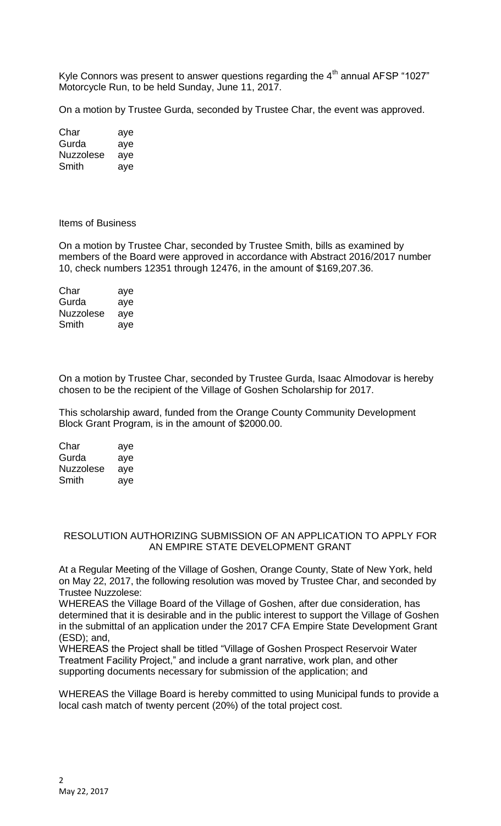Kyle Connors was present to answer questions regarding the  $4<sup>th</sup>$  annual AFSP "1027" Motorcycle Run, to be held Sunday, June 11, 2017.

On a motion by Trustee Gurda, seconded by Trustee Char, the event was approved.

Char aye Gurda aye Nuzzolese aye Smith aye

## Items of Business

On a motion by Trustee Char, seconded by Trustee Smith, bills as examined by members of the Board were approved in accordance with Abstract 2016/2017 number 10, check numbers 12351 through 12476, in the amount of \$169,207.36.

Char aye Gurda aye Nuzzolese aye Smith aye

On a motion by Trustee Char, seconded by Trustee Gurda, Isaac Almodovar is hereby chosen to be the recipient of the Village of Goshen Scholarship for 2017.

This scholarship award, funded from the Orange County Community Development Block Grant Program, is in the amount of \$2000.00.

| Char      | aye |
|-----------|-----|
| Gurda     | aye |
| Nuzzolese | aye |
| Smith     | ave |

## RESOLUTION AUTHORIZING SUBMISSION OF AN APPLICATION TO APPLY FOR AN EMPIRE STATE DEVELOPMENT GRANT

At a Regular Meeting of the Village of Goshen, Orange County, State of New York, held on May 22, 2017, the following resolution was moved by Trustee Char, and seconded by Trustee Nuzzolese:

WHEREAS the Village Board of the Village of Goshen, after due consideration, has determined that it is desirable and in the public interest to support the Village of Goshen in the submittal of an application under the 2017 CFA Empire State Development Grant (ESD); and,

WHEREAS the Project shall be titled "Village of Goshen Prospect Reservoir Water Treatment Facility Project," and include a grant narrative, work plan, and other supporting documents necessary for submission of the application; and

WHEREAS the Village Board is hereby committed to using Municipal funds to provide a local cash match of twenty percent (20%) of the total project cost.